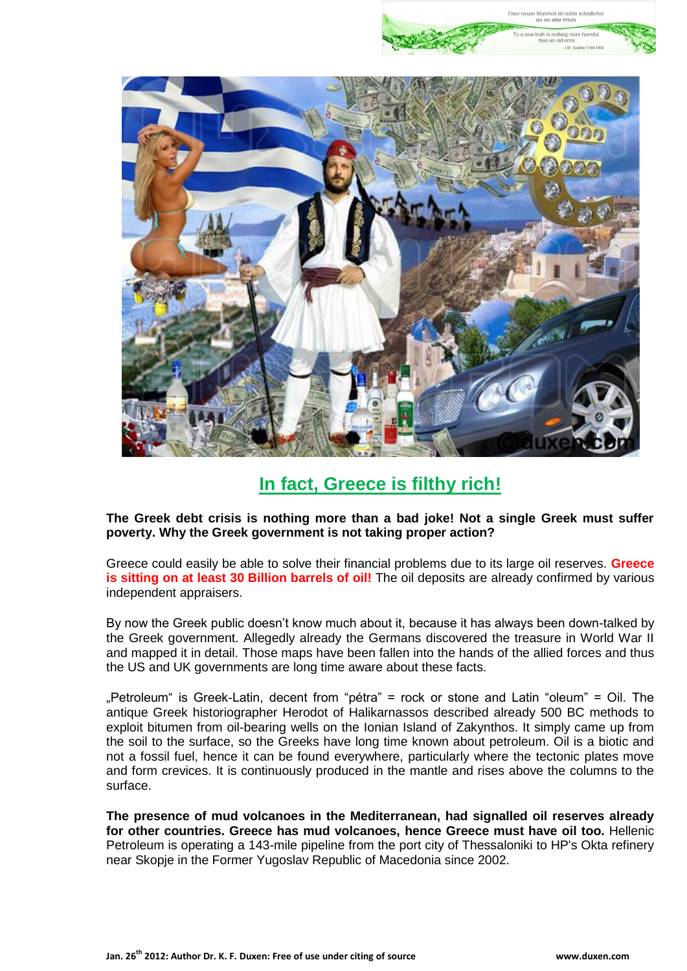

To a new truth is nothing more harmf

# **In fact, Greece is filthy rich!**

**The Greek debt crisis is nothing more than a bad joke! Not a single Greek must suffer poverty. Why the Greek government is not taking proper action?**

Greece could easily be able to solve their financial problems due to its large oil reserves. **Greece is sitting on at least 30 Billion barrels of oil!** The oil deposits are already confirmed by various independent appraisers.

By now the Greek public doesn't know much about it, because it has always been down-talked by the Greek government. Allegedly already the Germans discovered the treasure in World War II and mapped it in detail. Those maps have been fallen into the hands of the allied forces and thus the US and UK governments are long time aware about these facts.

"Petroleum" is Greek-Latin, decent from "pétra" = rock or stone and Latin "oleum" = Oil. The antique Greek historiographer Herodot of Halikarnassos described already 500 BC methods to exploit bitumen from oil-bearing wells on the Ionian Island of Zakynthos. It simply came up from the soil to the surface, so the Greeks have long time known about petroleum. Oil is a biotic and not a fossil fuel, hence it can be found everywhere, particularly where the tectonic plates move and form crevices. It is continuously produced in the mantle and rises above the columns to the surface.

**The presence of mud volcanoes in the Mediterranean, had signalled oil reserves already for other countries. Greece has mud volcanoes, hence Greece must have oil too.** Hellenic Petroleum is operating a 143-mile pipeline from the port city of Thessaloniki to HP's Okta refinery near Skopje in the Former Yugoslav Republic of Macedonia since 2002.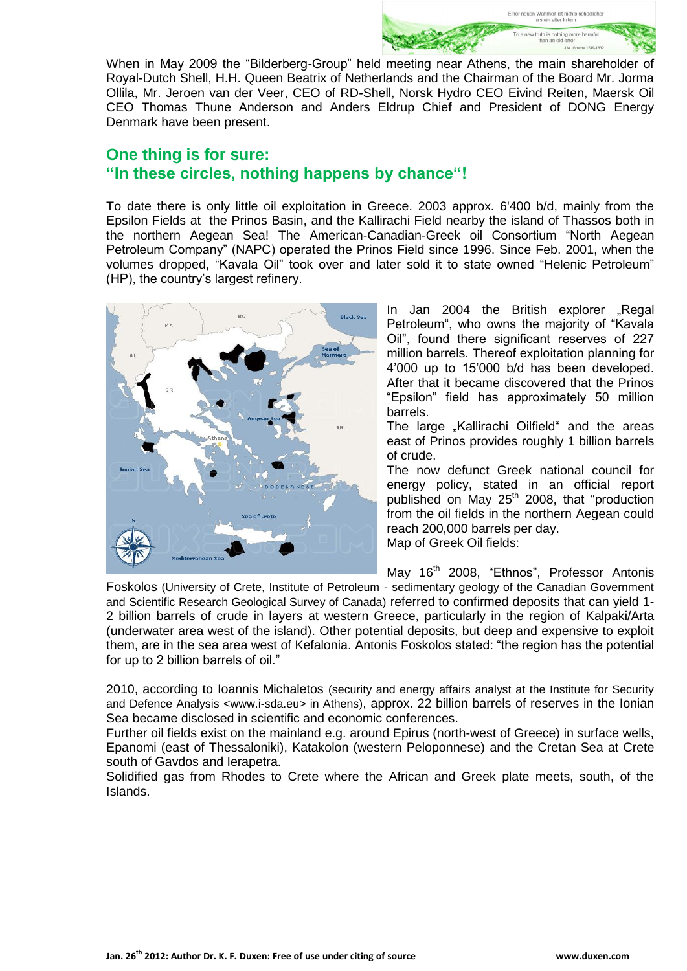When in May 2009 the "Bilderberg-Group" held meeting near Athens, the main shareholder Royal-Dutch Shell, H.H. Queen Beatrix of Netherlands and the Chairman of the Board Mr. Jorma Ollila, Mr. Jeroen van der Veer, CEO of RD-Shell, Norsk Hydro CEO Eivind Reiten, Maersk Oil CEO Thomas Thune Anderson and Anders Eldrup Chief and President of DONG Energy Denmark have been present.

## **One thing is for sure: "In these circles, nothing happens by chance"!**

To date there is only little oil exploitation in Greece. 2003 approx. 6'400 b/d, mainly from the Epsilon Fields at the Prinos Basin, and the Kallirachi Field nearby the island of Thassos both in the northern Aegean Sea! The American-Canadian-Greek oil Consortium "North Aegean Petroleum Company" (NAPC) operated the Prinos Field since 1996. Since Feb. 2001, when the volumes dropped, "Kavala Oil" took over and later sold it to state owned "Helenic Petroleum" (HP), the country's largest refinery.



In Jan 2004 the British explorer ..Regal Petroleum", who owns the majority of "Kavala Oil", found there significant reserves of 227 million barrels. Thereof exploitation planning for 4'000 up to 15'000 b/d has been developed. After that it became discovered that the Prinos "Epsilon" field has approximately 50 million barrels.

To a new truth is nothing more harmful than an old e  $JW$  Go

The large "Kallirachi Oilfield" and the areas east of Prinos provides roughly 1 billion barrels of crude.

The now defunct Greek national council for energy policy, stated in an official report published on May 25<sup>th</sup> 2008, that "production from the oil fields in the northern Aegean could reach 200,000 barrels per day. Map of Greek Oil fields:

May 16<sup>th</sup> 2008, "Ethnos", Professor Antonis

[Foskolos](http://www.ethnos.gr/article.asp?catid=11424&subid=2&tag=8470&pubid=986428) (University of Crete, Institute of Petroleum - sedimentary geology of the Canadian Government and Scientific Research Geological Survey of Canada) referred to confirmed deposits that can yield 1- 2 billion barrels of crude in layers at western Greece, particularly in the region of Kalpaki/Arta (underwater area west of the island). Other potential deposits, but deep and expensive to exploit them, are in the sea area west of Kefalonia. [Antonis Foskolos](http://www.ethnos.gr/article.asp?catid=11424&subid=2&tag=8470&pubid=986428) stated: "the region has the potential for up to 2 billion barrels of oil."

2010, according to Ioannis Michaletos (security and energy affairs analyst at the Institute for Security and Defence Analysis <www.i-sda.eu> in Athens), approx. 22 billion barrels of reserves in the Ionian Sea became disclosed in scientific and economic conferences.

Further oil fields exist on the mainland e.g. around Epirus (north-west of Greece) in surface wells, Epanomi (east of Thessaloniki), Katakolon (western Peloponnese) and the Cretan Sea at Crete south of Gavdos and Ierapetra.

Solidified gas from Rhodes to Crete where the African and Greek plate meets, south, of the Islands.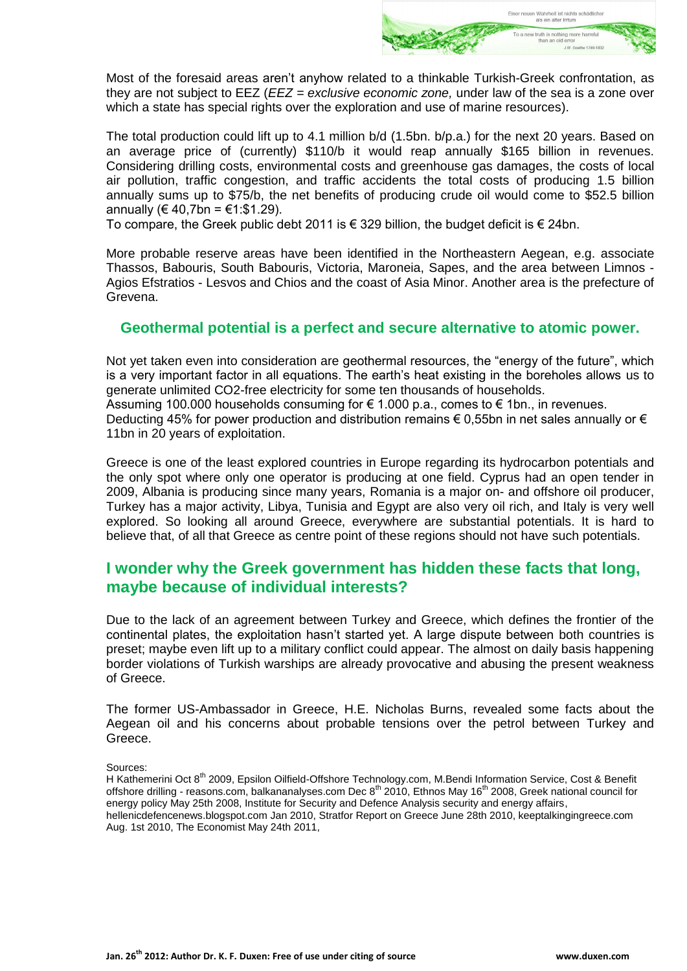

Most of the foresaid areas aren't anyhow related to a thinkable Turkish-Greek confrontation, as they are not subject to EEZ (*EEZ = exclusive economic zone,* under law of the sea is a zone over which a state has special rights over the exploration and use of marine resources).

The total production could lift up to 4.1 million b/d (1.5bn. b/p.a.) for the next 20 years. Based on an average price of (currently) \$110/b it would reap annually \$165 billion in revenues. Considering drilling costs, environmental costs and greenhouse gas damages, the costs of local air pollution, traffic congestion, and traffic accidents the total costs of producing 1.5 billion annually sums up to \$75/b, the net benefits of producing crude oil would come to \$52.5 billion annually (€ 40.7bn = €1:\$1.29).

To compare, the Greek public debt 2011 is € 329 billion, the budget deficit is € 24bn.

More probable reserve areas have been identified in the Northeastern Aegean, e.g. associate Thassos, Babouris, South Babouris, Victoria, Maroneia, Sapes, and the area between Limnos - Agios Efstratios - Lesvos and Chios and the coast of Asia Minor. Another area is the prefecture of Grevena.

#### **Geothermal potential is a perfect and secure alternative to atomic power.**

Not yet taken even into consideration are geothermal resources, the "energy of the future", which is a very important factor in all equations. The earth's heat existing in the boreholes allows us to generate unlimited CO2-free electricity for some ten thousands of households. Assuming 100.000 households consuming for € 1.000 p.a., comes to € 1bn., in revenues.

Deducting 45% for power production and distribution remains  $\epsilon$  0,55bn in net sales annually or  $\epsilon$ 11bn in 20 years of exploitation.

Greece is one of the least explored countries in Europe regarding its hydrocarbon potentials and the only spot where only one operator is producing at one field. Cyprus had an open tender in 2009, Albania is producing since many years, Romania is a major on- and offshore oil producer, Turkey has a major activity, Libya, Tunisia and Egypt are also very oil rich, and Italy is very well explored. So looking all around Greece, everywhere are substantial potentials. It is hard to believe that, of all that Greece as centre point of these regions should not have such potentials.

## **I wonder why the Greek government has hidden these facts that long, maybe because of individual interests?**

Due to the lack of an agreement between Turkey and Greece, which defines the frontier of the continental plates, the exploitation hasn't started yet. A large dispute between both countries is preset; maybe even lift up to a military conflict could appear. The almost on daily basis happening border violations of Turkish warships are already provocative and abusing the present weakness of Greece.

The former US-Ambassador in Greece, H.E. Nicholas Burns, revealed some facts about the Aegean oil and his concerns about probable tensions over the petrol between Turkey and Greece.

Sources:

H Kathemerini Oct 8<sup>th</sup> 2009, Epsilon Oilfield-Offshore Technology.com, M.Bendi Information Service, Cost & Benefit offshore drilling - reasons.com, balkananalyses.com Dec 8<sup>th</sup> 2010, Ethnos May 16<sup>th</sup> 2008, Greek national council for energy policy May 25th 2008, Institute for Security and Defence Analysis security and energy affairs, hellenicdefencenews.blogspot.com Jan 2010, Stratfor Report on Greece June 28th 2010, keeptalkingingreece.com Aug. 1st 2010, The Economist May 24th 2011,